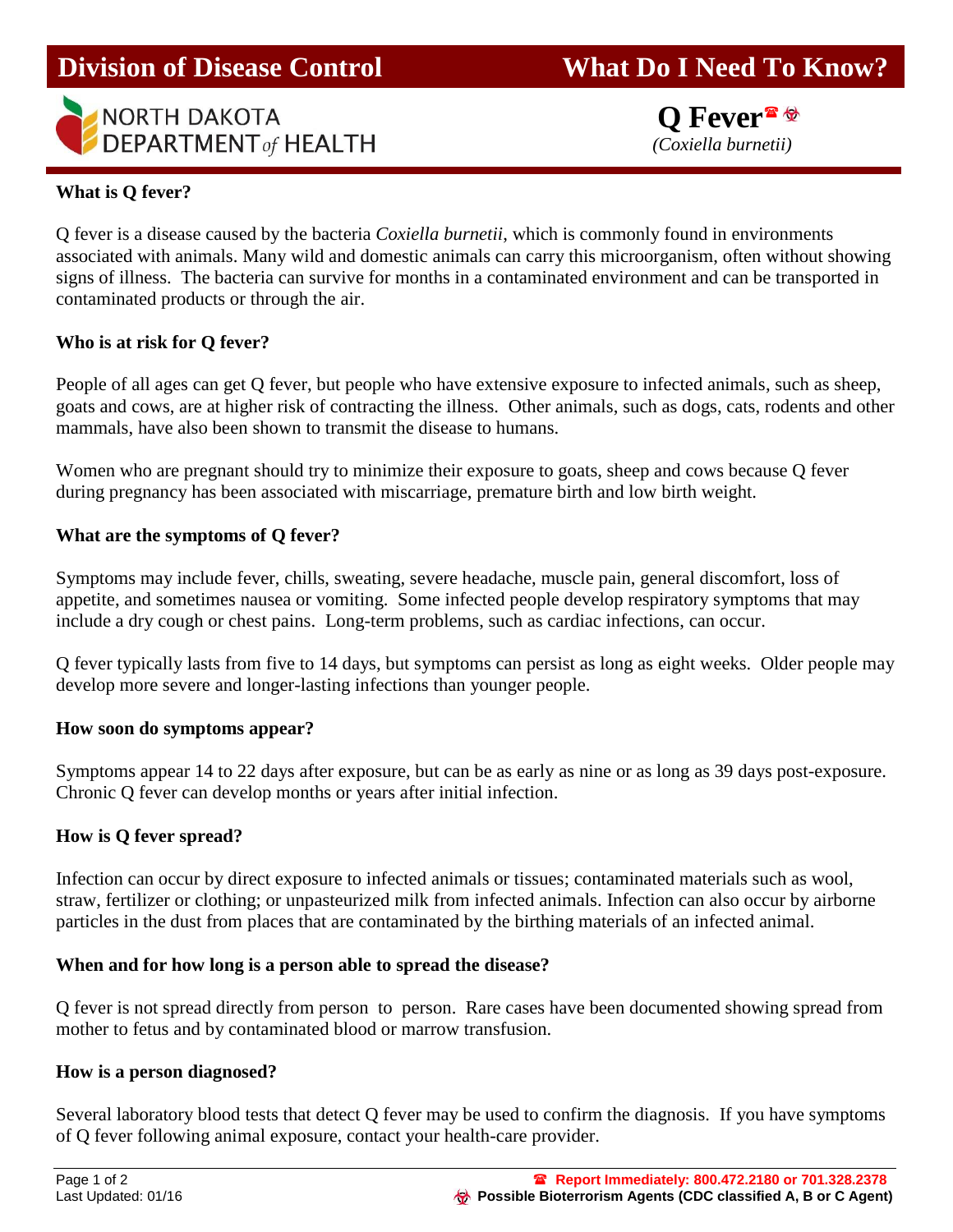

**Q Fever**<sup><sup>•</sup></sup>

## **What is Q fever?**

Q fever is a disease caused by the bacteria *Coxiella burnetii*, which is commonly found in environments associated with animals. Many wild and domestic animals can carry this microorganism, often without showing signs of illness. The bacteria can survive for months in a contaminated environment and can be transported in contaminated products or through the air.

## **Who is at risk for Q fever?**

People of all ages can get Q fever, but people who have extensive exposure to infected animals, such as sheep, goats and cows, are at higher risk of contracting the illness. Other animals, such as dogs, cats, rodents and other mammals, have also been shown to transmit the disease to humans.

Women who are pregnant should try to minimize their exposure to goats, sheep and cows because Q fever during pregnancy has been associated with miscarriage, premature birth and low birth weight.

#### **What are the symptoms of Q fever?**

Symptoms may include fever, chills, sweating, severe headache, muscle pain, general discomfort, loss of appetite, and sometimes nausea or vomiting. Some infected people develop respiratory symptoms that may include a dry cough or chest pains. Long-term problems, such as cardiac infections, can occur.

Q fever typically lasts from five to 14 days, but symptoms can persist as long as eight weeks. Older people may develop more severe and longer-lasting infections than younger people.

#### **How soon do symptoms appear?**

Symptoms appear 14 to 22 days after exposure, but can be as early as nine or as long as 39 days post-exposure. Chronic Q fever can develop months or years after initial infection.

## **How is Q fever spread?**

Infection can occur by direct exposure to infected animals or tissues; contaminated materials such as wool, straw, fertilizer or clothing; or unpasteurized milk from infected animals. Infection can also occur by airborne particles in the dust from places that are contaminated by the birthing materials of an infected animal.

#### **When and for how long is a person able to spread the disease?**

Q fever is not spread directly from person to person. Rare cases have been documented showing spread from mother to fetus and by contaminated blood or marrow transfusion.

#### **How is a person diagnosed?**

Several laboratory blood tests that detect Q fever may be used to confirm the diagnosis. If you have symptoms of Q fever following animal exposure, contact your health-care provider.